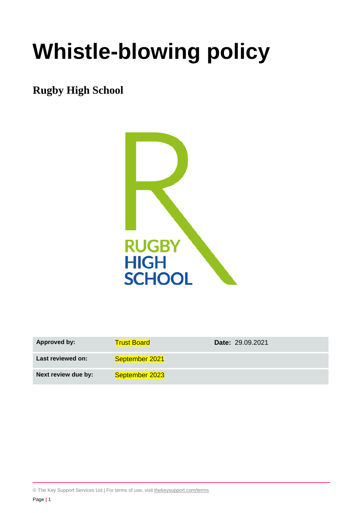# **Whistle-blowing policy**

# **Rugby High School**



| Approved by:        | <b>Trust Board</b> | <b>Date: 29.09.2021</b> |
|---------------------|--------------------|-------------------------|
| Last reviewed on:   | September 2021     |                         |
| Next review due by: | September 2023     |                         |

© The Key Support Services Ltd | For terms of use, visit [thekeysupport.com/terms](https://thekeysupport.com/terms-of-use)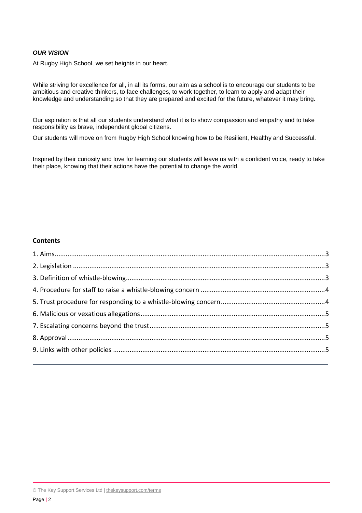#### *OUR VISION*

At Rugby High School, we set heights in our heart.

While striving for excellence for all, in all its forms, our aim as a school is to encourage our students to be ambitious and creative thinkers, to face challenges, to work together, to learn to apply and adapt their knowledge and understanding so that they are prepared and excited for the future, whatever it may bring.

Our aspiration is that all our students understand what it is to show compassion and empathy and to take responsibility as brave, independent global citizens.

Our students will move on from Rugby High School knowing how to be Resilient, Healthy and Successful.

Inspired by their curiosity and love for learning our students will leave us with a confident voice, ready to take their place, knowing that their actions have the potential to change the world.

#### **Contents**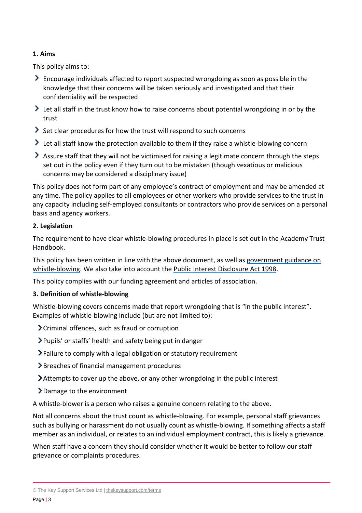# <span id="page-2-0"></span>**1. Aims**

This policy aims to:

- Encourage individuals affected to report suspected wrongdoing as soon as possible in the knowledge that their concerns will be taken seriously and investigated and that their confidentiality will be respected
- I Let all staff in the trust know how to raise concerns about potential wrongdoing in or by the trust
- Set clear procedures for how the trust will respond to such concerns
- I Let all staff know the protection available to them if they raise a whistle-blowing concern
- Assure staff that they will not be victimised for raising a legitimate concern through the steps set out in the policy even if they turn out to be mistaken (though vexatious or malicious concerns may be considered a disciplinary issue)

This policy does not form part of any employee's contract of employment and may be amended at any time. The policy applies to all employees or other workers who provide services to the trust in any capacity including self-employed consultants or contractors who provide services on a personal basis and agency workers.

# <span id="page-2-1"></span>**2. Legislation**

The requirement to have clear whistle-blowing procedures in place is set out in the [Academy Trust](https://www.gov.uk/guidance/academies-financial-handbook/academy-trust-handbook-2021)  [Handbook.](https://www.gov.uk/guidance/academies-financial-handbook/academy-trust-handbook-2021)

This policy has been written in line with the above document, as well as [government guidance on](https://www.gov.uk/whistleblowing)  [whistle-blowing.](https://www.gov.uk/whistleblowing) We also take into account the [Public Interest Disclosure Act 1998.](https://www.legislation.gov.uk/ukpga/1998/23/contents)

This policy complies with our funding agreement and articles of association.

# <span id="page-2-2"></span>**3. Definition of whistle-blowing**

Whistle-blowing covers concerns made that report wrongdoing that is "in the public interest". Examples of whistle-blowing include (but are not limited to):

- Criminal offences, such as fraud or corruption
- Pupils' or staffs' health and safety being put in danger
- Failure to comply with a legal obligation or statutory requirement
- Breaches of financial management procedures
- Attempts to cover up the above, or any other wrongdoing in the public interest
- Damage to the environment

A whistle-blower is a person who raises a genuine concern relating to the above.

Not all concerns about the trust count as whistle-blowing. For example, personal staff grievances such as bullying or harassment do not usually count as whistle-blowing. If something affects a staff member as an individual, or relates to an individual employment contract, this is likely a grievance.

When staff have a concern they should consider whether it would be better to follow our staff grievance or complaints procedures.

<sup>©</sup> The Key Support Services Ltd | [thekeysupport.com/terms](https://thekeysupport.com/terms-of-use)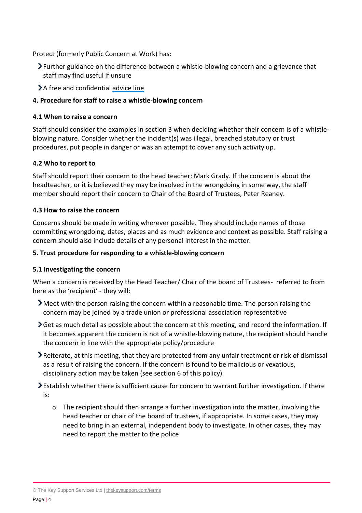Protect (formerly Public Concern at Work) has:

- $\sum$  [Further guidance](https://protect-advice.org.uk/what-is-the-difference-between-raising-a-grievance-and-whistleblowing/) on the difference between a whistle-blowing concern and a grievance that staff may find useful if unsure
- >A free and confidential [advice line](https://protect-advice.org.uk/contact-protect-advice-line/)

# <span id="page-3-0"></span>**4. Procedure for staff to raise a whistle-blowing concern**

#### **4.1 When to raise a concern**

Staff should consider the examples in section 3 when deciding whether their concern is of a whistleblowing nature. Consider whether the incident(s) was illegal, breached statutory or trust procedures, put people in danger or was an attempt to cover any such activity up.

#### **4.2 Who to report to**

Staff should report their concern to the head teacher: Mark Grady. If the concern is about the headteacher, or it is believed they may be involved in the wrongdoing in some way, the staff member should report their concern to Chair of the Board of Trustees, Peter Reaney.

#### **4.3 How to raise the concern**

Concerns should be made in writing wherever possible. They should include names of those committing wrongdoing, dates, places and as much evidence and context as possible. Staff raising a concern should also include details of any personal interest in the matter.

#### <span id="page-3-1"></span>**5. Trust procedure for responding to a whistle-blowing concern**

## **5.1 Investigating the concern**

When a concern is received by the Head Teacher/ Chair of the board of Trustees- referred to from here as the 'recipient' - they will:

- Meet with the person raising the concern within a reasonable time. The person raising the concern may be joined by a trade union or professional association representative
- Get as much detail as possible about the concern at this meeting, and record the information. If it becomes apparent the concern is not of a whistle-blowing nature, the recipient should handle the concern in line with the appropriate policy/procedure
- Reiterate, at this meeting, that they are protected from any unfair treatment or risk of dismissal as a result of raising the concern. If the concern is found to be malicious or vexatious, disciplinary action may be taken (see section 6 of this policy)
- Establish whether there is sufficient cause for concern to warrant further investigation. If there is:
	- $\circ$  The recipient should then arrange a further investigation into the matter, involving the head teacher or chair of the board of trustees, if appropriate. In some cases, they may need to bring in an external, independent body to investigate. In other cases, they may need to report the matter to the police